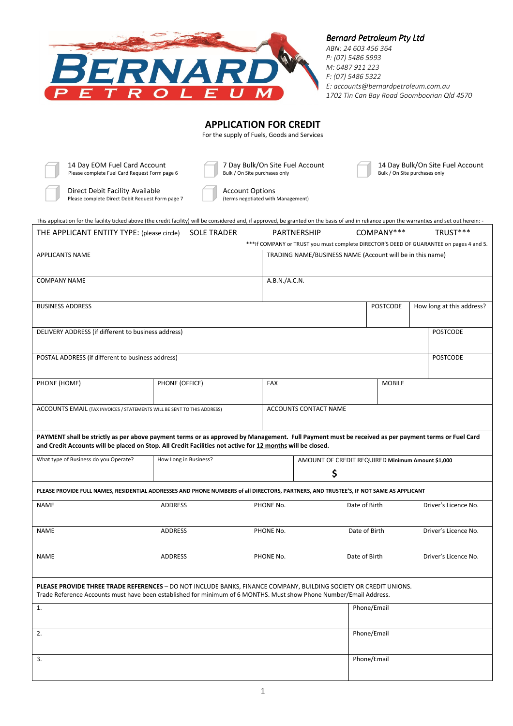

# *Bernard Petroleum Pty Ltd*

*ABN: 24 603 456 364 P: (07) 5486 5993 M: 0487 911 223 F: (07) 5486 5322 E: accounts@bernardpetroleum.com.au 1702 Tin Can Bay Road Goomboorian Qld 4570* 

# **APPLICATION FOR CREDIT**

For the supply of Fuels, Goods and Services

14 Day EOM Fuel Card Account 7 Day Bulk/On Site Fuel Account<br>
Please complete Fuel Card Request Form page 6 Bulk/On Site purchases only Bulk/On Site purchases only Please complete Fuel Card Request Form page 6

Direct Debit Facility Available<br>
Please complete Direct Debit Request Form page 7 (terms negotiated with Management) Please complete Direct Debit Request Form page 7

| This application for the facility ticked above (the credit facility) will be considered and, if approved, be granted on the basis of and in reliance upon the warranties and set out herein: -                                          |                       |               |                                                           |                 |                                                                                         |
|-----------------------------------------------------------------------------------------------------------------------------------------------------------------------------------------------------------------------------------------|-----------------------|---------------|-----------------------------------------------------------|-----------------|-----------------------------------------------------------------------------------------|
| THE APPLICANT ENTITY TYPE: (please circle)                                                                                                                                                                                              | <b>SOLE TRADER</b>    | PARTNERSHIP   |                                                           | COMPANY***      | TRUST***                                                                                |
|                                                                                                                                                                                                                                         |                       |               |                                                           |                 | ***If COMPANY or TRUST you must complete DIRECTOR'S DEED OF GUARANTEE on pages 4 and 5. |
| <b>APPLICANTS NAME</b>                                                                                                                                                                                                                  |                       |               | TRADING NAME/BUSINESS NAME (Account will be in this name) |                 |                                                                                         |
| <b>COMPANY NAME</b>                                                                                                                                                                                                                     |                       | A.B.N./A.C.N. |                                                           |                 |                                                                                         |
| <b>BUSINESS ADDRESS</b>                                                                                                                                                                                                                 |                       |               |                                                           | <b>POSTCODE</b> | How long at this address?                                                               |
|                                                                                                                                                                                                                                         |                       |               |                                                           |                 |                                                                                         |
| DELIVERY ADDRESS (if different to business address)                                                                                                                                                                                     |                       |               |                                                           |                 | <b>POSTCODE</b>                                                                         |
|                                                                                                                                                                                                                                         |                       |               |                                                           |                 |                                                                                         |
| POSTAL ADDRESS (if different to business address)                                                                                                                                                                                       |                       |               |                                                           |                 | <b>POSTCODE</b>                                                                         |
| PHONE (HOME)                                                                                                                                                                                                                            | PHONE (OFFICE)        | <b>FAX</b>    |                                                           | <b>MOBILE</b>   |                                                                                         |
| ACCOUNTS EMAIL (TAX INVOICES / STATEMENTS WILL BE SENT TO THIS ADDRESS)                                                                                                                                                                 |                       |               | ACCOUNTS CONTACT NAME                                     |                 |                                                                                         |
| PAYMENT shall be strictly as per above payment terms or as approved by Management. Full Payment must be received as per payment terms or Fuel Card                                                                                      |                       |               |                                                           |                 |                                                                                         |
| and Credit Accounts will be placed on Stop. All Credit Facilities not active for 12 months will be closed.                                                                                                                              |                       |               |                                                           |                 |                                                                                         |
| What type of Business do you Operate?                                                                                                                                                                                                   | How Long in Business? |               | AMOUNT OF CREDIT REQUIRED Minimum Amount \$1,000          |                 |                                                                                         |
|                                                                                                                                                                                                                                         |                       |               | \$                                                        |                 |                                                                                         |
| PLEASE PROVIDE FULL NAMES, RESIDENTIAL ADDRESSES AND PHONE NUMBERS of all DIRECTORS, PARTNERS, AND TRUSTEE'S, IF NOT SAME AS APPLICANT                                                                                                  |                       |               |                                                           |                 |                                                                                         |
| <b>NAME</b>                                                                                                                                                                                                                             | <b>ADDRESS</b>        | PHONE No.     | Date of Birth                                             |                 | Driver's Licence No.                                                                    |
| <b>NAME</b>                                                                                                                                                                                                                             | <b>ADDRESS</b>        | PHONE No.     | Date of Birth                                             |                 | Driver's Licence No.                                                                    |
| NAME                                                                                                                                                                                                                                    | <b>ADDRESS</b>        | PHONE No.     | Date of Birth                                             |                 | Driver's Licence No.                                                                    |
| PLEASE PROVIDE THREE TRADE REFERENCES - DO NOT INCLUDE BANKS, FINANCE COMPANY, BUILDING SOCIETY OR CREDIT UNIONS.<br>Trade Reference Accounts must have been established for minimum of 6 MONTHS. Must show Phone Number/Email Address. |                       |               |                                                           |                 |                                                                                         |
| 1.                                                                                                                                                                                                                                      |                       |               |                                                           | Phone/Email     |                                                                                         |
| 2.                                                                                                                                                                                                                                      |                       |               |                                                           | Phone/Email     |                                                                                         |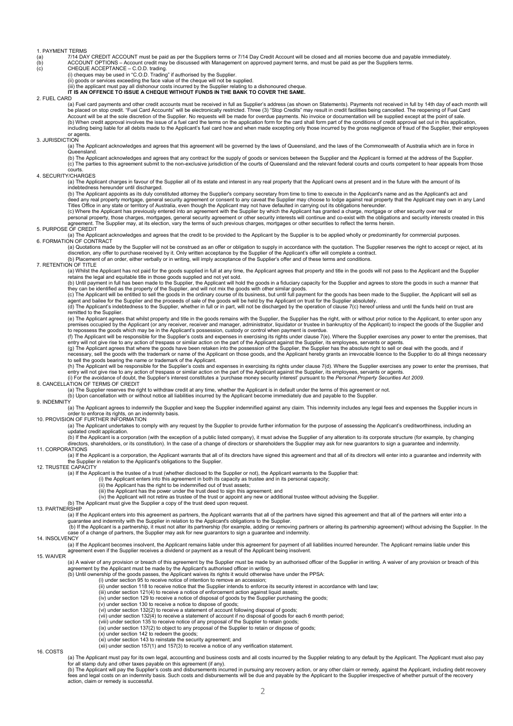1. PAYMENT TERMS<br>
(a) 7/14 DA<br>
(b) ACCOUI (a) 7/14 DAY CREDIT ACCOUNT must be paid as per the Suppliers terms or 7/14 Day Credit Account will be closed and all monies become due and payable immediately.<br>(b) ACCOUNT OPTIONS – Account credit may be discussed w

(i) cheques may be used in "C.O.D. Trading" if authorised by the Supplier.

(ii) goods or services exceeding the face value of the cheque will not be supplied.<br>(iii) the applicant must pay all dishonour costs incurred by the Supplier relating to a dishonoured cheque.<br>IT IS AN OFFENCE TO ISSUE A CH

### 2. FUEL CARD

(a) Fuel card payments and other credit accounts must be received in full as Supplier's address (as shown on Statements). Payments not received in full by 14th day of each month will be placed on stop credit. "Fuel Card Accounts" will be electronically restricted. Three (3) "Stop Credits" may result in credit facilities being cancelled. The reopening of Fuel Card<br>Account will be at the sole discretion (b) When credit approval involves the issue of a fuel card the terms on the application form for the card shall form part of the conditions of credit approval set out in this application,<br>including being liable for all deb or agents.

3. JURISDICTION

(a) The Applicant acknowledges and agrees that this agreement will be governed by the laws of Queensland, and the laws of the Commonwealth of Australia which are in force in Queensland.

(b) The Applicant acknowledges and agrees that any contract for the supply of goods or services between the Supplier and the Applicant is formed at the address of the Supplier.<br>(c) The parties to this agreement submit to t courts.

### 4. SECURITY/CHARGES

(a) The Applicant charges in favour of the Supplier all of its estate and interest in any real property that the Applicant owns at present and in the future with the amount of its

indebtedness hereunder until discharged.<br>(b) The Applicant appoints as its duly constituted attorney the Supplier's company secretary from time to time to execute in the Applicant's name and as the Applicant's act and deed any real property mortgage, general security agreement or consent to any caveat the Supplier may choose to lodge against real property that the Applicant may own in any Land<br>Titles Office in any state or territory of

(c) Where the Applicant has previously entered into an agreement with the Supplier by which the Applicant has granted a charge, mortgage or other security over real or<br>personal property, those charges, mortgages, general s

### 5. PURPOSE OF CREDIT

(a) The Applicant acknowledges and agrees that the credit to be provided to the Applicant by the Supplier is to be applied wholly or predominantly for commercial purposes. 6. FORMATION OF CONTRACT

(a) Quotations made by the Supplier will not be construed as an offer or obligation to supply in accordance with the quotation. The Supplier reserves the right to accept or reject, at its

# discretion, any offer to purchase received by it. Only written acceptance by the Supplier of the Applicant's offer will complete a contract.<br>(b) Placement of an order, either verbally or in writing, will imply acceptance o

### 7. RETENTION OF TITLE

(a) Whilst the Applicant has not paid for the goods supplied in full at any time, the Applicant agrees that property and title in the goods will not pass to the Applicant and the Supplier retains the legal and equitable title in those goods supplied and not yet sold.<br>(b) Until payment in full has been made to the Supplier, the Applicant will hold the goods in a fiduciary capacity for the Supplier and agrees

they can be identified as the property of the Supplier, and will not mix the goods with other similar goods.<br>(c) The Applicant will be entitled to sell the goods in the ordinary course of its business, but until full payme

(d) The Applicant's indebtedness to the Supplier, whether in full or in part, will not be discharged by the operation of clause 7(c) hereof unless and until the funds held on trust are (d) the Applicant's indebtedness to t remitted to the Supplier.

(e) The Applicant agrees that whilst property and title in the goods remains with the Supplier, the Supplier has the right, with or without prior notice to the Applicant, to enter upon any<br>premises occupied by the Applican

to repossess the goods which may be in the Applicant's possession, custody or control when payment is overdue.<br>(f) The Applicant will be responsible for the Supplier's costs and expenses in exercising its rights under clau

entry will not give rise to any action of trespass or similar action on the part of the Applicant against the Supplier, its employees, servants or agents.<br>(g) The Applicant agrees that where the goods have been retaken int necessary, sell the goods with the trademark or name of the Applicant on those goods, and the Applicant hereby grants an irrevocable licence to the Supplier to do all things necessary<br>to sell the goods bearing the name or

entry will not give rise to any action of trespass or similar action on the part of the Applicant against the Supplier, its employees, servants or agents.<br>(i) For the avoidance of doubt, the Supplier's interest constitutes

(a) The Supplier reserves the right to withdraw credit at any time, whether the Applicant is in default under the terms of this agreement or not.

(b) Upon cancellation with or without notice all liabilities incurred by the Applicant become immediately due and payable to the Supplier.

### 9. INDEMNITY

a) The Applicant agrees to indemnify the Supplier and keep the Supplier indemnified against any claim. This indemnity includes any legal fees and expenses the Supplier incurs in<br>10. PROVISION OF FURTHER INFORMATION<br>10. PRO

(a) The Applicant undertakes to comply with any request by the Supplier to provide further information for the purpose of assessing the Applicant's creditworthiness, including an updated credit application.

(b) If the Applicant is a corporation (with the exception of a public listed company), it must advise the Supplier of any alteration to its corporate structure (for example, by changing<br>directors, shareholders, or its cons 11. CORPORATIONS

(a) If the Applicant is a corporation, the Applicant warrants that all of its directors have signed this agreement and that all of its directors will enter into a guarantee and indemnity with the Supplier in relation to the Applicant's obligations to the Supplier. 12. TRUSTEE CAPACITY

(a) If the Applicant is the trustee of a trust (whether disclosed to the Supplier or not), the Applicant warrants to the Supplier that:<br>(i) the Applicant enters into this agreement in both its capacity as trustee and in it

- 
- 

ii) the Applicant has the right to be indemnified out of trust assets;<br>(iii) the Applicant has the power under the trust deed to sign this agreement; and<br>(iv) the Applicant will not retire as trustee of the trust or appoin

(a) If the Applicant enters into this agreement as partners, the Applicant warrants that all of the partners have signed this agreement and that all of the partners will enter into a

guarantee and indemnity with the Supplier in relation to the Applicant's obligations to the Supplier.<br>(b) If the Applicant is a partnership, it must not alter its partnership (for example, adding or removing partners or al

### 14. INSOLVENCY

(a) If the Applicant becomes insolvent, the Applicant remains liable under this agreement for payment of all liabilities incurred hereunder. The Applicant remains liable under this<br>agreement even if the Supplier receives a

### 15. WAIVER

(a) A waiver of any provision or breach of this agreement by the Supplier must be made by an authorised officer of the Supplier in writing. A waiver of any provision or breach of this<br>agreement by the Applicant must be mad

- (i) under section 95 to receive notice of intention to remove an accession;
	- (ii) under section 118 to receive notice that the Supplier intends to enforce its security interest in accordance with land law;
	-
	- (iii) under section 121(4) to receive a notice of enforcement action against liquid assets; (iv) under section 129 to receive a notice of disposal of goods by the Supplier purchasing the goods;
	- (v) under section 130 to receive a notice to dispose of goods; (vi) under section 132(2) to receive a statement of account following disposal of goods;
	-
	- (vii) under section 132(4) to receive a statement of account if no disposal of goods for each 6 month period; (viii) under section 135 to receive notice of any proposal of the Supplier to retain goods;

(ix) under section 137(2) to object to any proposal of the Supplier to retain or dispose of goods;

 $(x)$  under section 142 to redeem the goods;

- 
- (xi) under section 143 to reinstate the security agreement; and (xii) under section 157(1) and 157(3) to receive a notice of any verification statement.

16. COSTS

(a) The Applicant must pay for its own legal, accounting and business costs and all costs incurred by the Supplier relating to any default by the Applicant. The Applicant must also pay<br>for all stamp duty and other taxes pa

(b) The Applicant will pay the Supplier's costs and disbursements incurred in pursuing any recovery action, or any other claim or remedy, against the Applicant, including debt recovery<br>fees and legal costs on an indemnity action, claim or remedy is successful.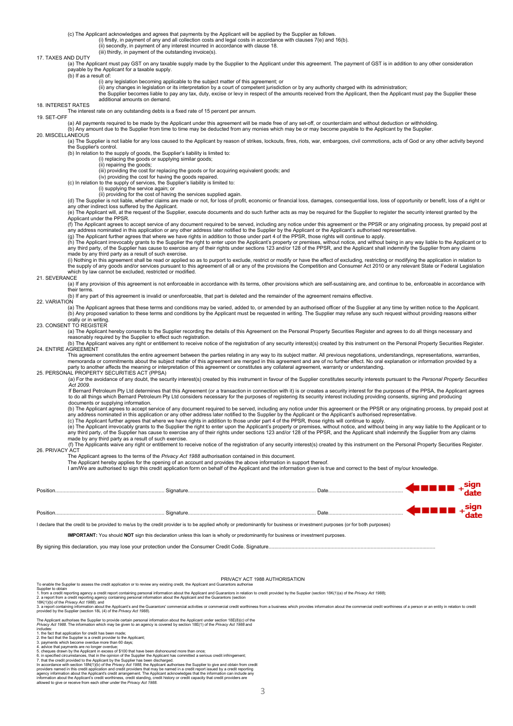(c) The Applicant acknowledges and agrees that payments by the Applicant will be applied by the Supplier as follows.

(i) firstly, in payment of any and all collection costs and legal costs in accordance with clauses 7(e) and 16(b). (ii) secondly, in payment of any interest incurred in accordance with clause 18.

# (iii) thirdly, in payment of the outstanding invoice(s).

### 17. TAXES AND DUTY

we be a the Applicant must pay GST on any taxable supply made by the Supplier to the Applicant under this agreement. The payment of GST is in addition to any other consideration payable by the Applicant for a taxable supply.

### (b) If as a result of:

(i) any legislation becoming applicable to the subject matter of this agreement; or<br>(ii) any changes in legislation or its interpretation by a court of competent jurisdiction or by any authority charged with its administra

the Supplier becomes liable to pay any tax, duty, excise or levy in respect of the amounts received from the Applicant, then the Applicant must pay the Supplier these additional amounts on demand.

### 18. INTEREST RATES

The interest rate on any outstanding debts is a fixed rate of 15 percent per annum.

19. SET-OFF

(a) All payments required to be made by the Applicant under this agreement will be made free of any set-off, or counterclaim and without deduction or withholding.

#### (b) Any amount due to the Supplier from time to time may be deducted from any monies which may be or may become payable to the Applicant by the Supplier. 20. MISCELLANEOUS

(a) The Supplier is not liable for any loss caused to the Applicant by reason of strikes, lockouts, fires, riots, war, embargoes, civil commotions, acts of God or any other activity beyond the Supplier's control.

(b) In relation to the supply of goods, the Supplier's liability is limited to:

(i) replacing the goods or supplying similar goods; (ii) repairing the goods;

(iii) providing the cost for replacing the goods or for acquiring equivalent goods; and (iv) providing the cost for having the goods repaired.

- (c) In relation to the supply of services, the Supplier's liability is limited to: (i) supplying the service again; or
	-

(ii) providing for the cost of having the services supplied again.<br>(d) The Supplier is not liable, whether claims are made or not, for loss of profit, economic or financial loss, damages, consequential loss, loss of opport

(e) The Applicant will, at the request of the Supplier, execute documents and do such further acts as may be required for the Supplier to register the security interest granted by the Applicant under the PPSR.

(f) The Applicant agrees to accept service of any document required to be served, including any notice under this agreement or the PPSR or any originating process, by prepaid post at<br>any address nominated in this applicati

(h) The Applicant irrevocably grants to the Supplier the right to enter upon the Applicant's property or premises, without notice, and without being in any way liable to the Applicant or to the Applicant or to the Applican any third party, of the Supplier has cause to exercise any of their rights under sections 123 and/or 128 of the PPSR, and the Applicant shall indemnify the Supplier from any claims<br>made by any third party as a result of su

(i) Nothing in this agreement shall be read or applied so as to purport to exclude, restrict or modify or have the effect of excluding, restricting or modifying the application in relation to<br>the supply of any goods and/or which by law cannot be excluded, restricted or modified.

### 21. SEVERANCE

 $\alpha$ ) If any provision of this agreement is not enforceable in accordance with its terms, other provisions which are self-sustaining are, and continue to be, enforceable in accordance with  $th$  $\rho$ ir ter

(b) If any part of this agreement is invalid or unenforceable, that part is deleted and the remainder of the agreement remains effective.

### 22 VARIATION

(a) The Applicant agrees that these terms and conditions may be varied, added to, or amended by an authorised officer of the Supplier at any time by written notice to the Applicant. (b) Any proposed variation to these terms and conditions by the Applicant must be requested in writing. The Supplier may refuse any such request without providing reasons either orally or in writing.

### 23. CONSENT TO REGISTER

(a) The Applicant hereby consents to the Supplier recording the details of this Agreement on the Personal Property Securities Register and agrees to do all things necessary and reasonably required by the Supplier to effect such registration.

(b) The Applicant waives any right or entitlement to receive notice of the registration of any security interest(s) created by this instrument on the Personal Property Securities Register. 24 ENTIRE AGREEMENT

This agreement constitutes the entire agreement between the parties relating in any way to its subject matter. All previous negotiations, understandings, representations, warranties, memoranda or commitments about the subject matter of this agreement are merged in this agreement and are of no further effect. No oral explanation or information provided by a

party to another affects the meaning or interpretation of this agreement or constitutes any collateral agreement, warranty or understanding. 25. PERSONAL PROPERTY SECURITIES ACT (PPSA)

(a) For the avoidance of any doubt, the security interest(s) created by this instrument in favour of the Supplier constitutes security interests pursuant to the *Personal Property Securities Act 2009.*

If Bernard Petroleum Pty Ltd determines that this Agreement (or a transaction in connection with it) is or creates a security interest for the purposes of the PPSA, the Applicant agrees to do all things which Bernard Petroleum Pty Ltd considers necessary for the purposes of registering its security interest including providing consents, signing and producing documents or supplying information.

(b) The Applicant agrees to accept service of any document required to be served, including any notice under this agreement or the PPSR or any originating process, by prepaid post at

any address nominated in this application or any other address later notified to the Supplier by the Applicant or the Applicant's authorised representative.<br>(c) The Applicant further agrees that where we have rights in add

 (f) The Applicants waive any right or entitlement to receive notice of the registration of any security interest(s) created by this instrument on the Personal Property Securities Register. 26. PRIVACY ACT

The Applicant agrees to the terms of the *Privacy Act 1988* authorisation contained in this document.<br>The Applicant hereby applies for the opening of an account and provides the above information in support thereof.

I am/We are authorised to sign this credit application form on behalf of the Applicant and the information given is true and correct to the best of my/our knowledge.

| Position. | Signature.                                                                                                                                                                  | Date |  |
|-----------|-----------------------------------------------------------------------------------------------------------------------------------------------------------------------------|------|--|
| Position. | Signature.                                                                                                                                                                  | Date |  |
|           | Location that the credit to be provided to medus by the credit provider is to be applied wholly or predominantly for business or investment purposes (or for both purposes) |      |  |

I declare that the credit to be provided to me/us by the credit provider is to be applied wholly or predominantly for business or investment purposes (or for both purposes)

**IMPORTANT:** You should **NOT** sign this declaration unless this loan is wholly or predominantly for business or investment purposes.

By signing this declaration, you may lose your protection under the Consumer Credit Code. Signature

### PRIVACY ACT 1988 AUTHORISATION

To enable the Supplier to assess the credit application or to review any existing credit, the Applicant and Guar

Supplier to obtain<br>1. from a credit repo

1. from a credit reporting agency a credit report containing personal information about the Applicant and Guarantors in relation to credit provided by the Supplier (section 18K(1)(a) of the *Privacy Act 1988*);<br>2. a report

The Applicant authorises the Supplier to provide certain personal information about the Applicant under section 18E(8)(c) of the<br>*Privacy Act 1988.* The information which may be given to an agency is covered by section 18E

- 
- 

includes:<br>1. the fact that application for credit has been made;<br>
2. the fact that application for credit provider to the Applicant;<br>
3. payments which become overdue more than 60 days;<br>
4. advice that payments are no long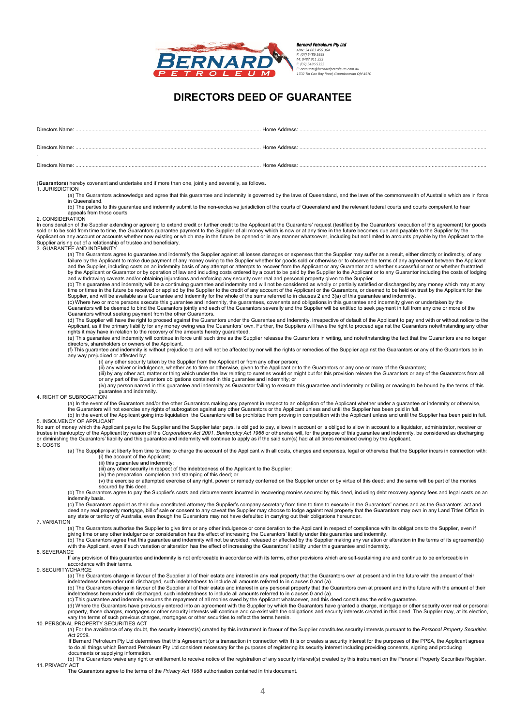

# **DIRECTORS DEED OF GUARANTEE**

| Directors Name: | Home Address: |
|-----------------|---------------|
|                 |               |
| Directors Name: | Home Address: |
|                 |               |
| Directors Name: | Home Address: |
|                 |               |

(**Guarantors**) hereby covenant and undertake and if more than one, jointly and severally, as follows.

### 1. JURISDICTION

(a) The Guarantors acknowledge and agree that this guarantee and indemnity is governed by the laws of Queensland, and the laws of the commonwealth of Australia which are in force in Queensland.

(b) The parties to this guarantee and indemnity submit to the non-exclusive jurisdiction of the courts of Queensland and the relevant federal courts and courts competent to hear appeals from those courts.

### 2. CONSIDERATION

In consideration of the Supplier extending or agreeing to extend credit or further credit to the Applicant at the Guarantors' request (testified by the Guarantors' execution of this agreement) for goods<br>sold or to be sold

### **3. GUARANTEE AND INDEMNITY**

Lat the Guarantors agree to guarantee and indemnify the Supplier against all losses damages or expenses that the Supplier may suffer as a result, either directly or indirectly, of any failure by the Applicant to make due payment of any money owing to the Supplier whether for goods sold or otherwise or to observe the terms of any agreement between the Applicant<br>and the Supplier, including costs on an ind

by the Applicant or Guarantor or by operation of law and including costs ordered by a court to be paid by the Supplier to the Applicant or to any Guarantor including the costs of lodging<br>and withdrawing caveats and/or obta Supplier, and will be available as a Guarantee and Indemnity for the whole of the sums referred to in clauses 2 and 3(a) of this guarantee and indemnity.<br>(c) Where two or more persons execute this guarantee and indemnity,

Guarantors will be deemed to bind the Guarantors jointly and each of the Guarantors severally and the Supplier will be entitled to seek payment in full from any one or more of the Guarantors without seeking payment from the other Guarantors.<br>(d) The Supplier will have the right to proceed against the Guarantors under the Guarantee and Indemnity, irrespective of default of the Applicant to pay and wi

Applicant, as if the primary liability for any money owing was the Guarantors' own. Further, the Suppliers will have the right to proceed against the Guarantors notwithstanding any other<br>rights it may have in relation to t

(e) This guarantee and indemnity will continue in force until such time as the Supplier releases the Guarantors in writing, and notwithstanding the fact that the Guarantors are no longer directors, shareholders or owners of the Applicant.

(f) This guarantee and indemnity is without prejudice to and will not be affected by nor will the rights or remedies of the Supplier against the Guarantors or any of the Guarantors be in any way prejudiced or affected by:

(i) any other security taken by the Supplier from the Applicant or from any other person;

(ii) any waiver or indulgence, whether as to time or otherwise, given to the Applicant or to the Guarantors or any one or more of the Guarantors;<br>(ii) any waiver or indulgence, whether as to time or otherwise, given to the

(iii) by any other act, matter or thing which under the law relating to sureties would or might but for this provision release the Guarantors or any of the Guarantors from all<br>or any par of the Guarantors obligations conta guarantee and indemnity.

## 4. RIGHT OF SUBROGATION

(a) In the event of the Guarantors and/or the other Guarantors making any payment in respect to an obligation of the Applicant whether under a guarantee or indemnity or otherwise,<br>the Guarantors will not exercise any right

(b) In the event of the Applicant going into liquidation, the Guarantors will be prohibited from proving in competition with the Applicant unless and until the Supplier has been paid in full.

### 5. INSOLVENCY OF APPLICANT

No sum of money which the Applicant pays to the Supplier and the Supplier later pays, is obliged to pay, allows in account or is obliged to allow in account to a liquidator, administrator, receiver or<br>trustee in bankruptcy 6. COSTS

(a) The Supplier is at liberty from time to time to charge the account of the Applicant with all costs, charges and expenses, legal or otherwise that the Supplier incurs in connection with:

(i) the account of the Applicant; (ii) this guarantee and indemnity;

- 
- (iii) any other security in respect of the indebtedness of the Applicant to the Supplier; (iv) the preparation, completion and stamping of this deed; or
- (v) the exercise or attempted exercise of any right, power or remedy conferred on the Supplier under or by virtue of this deed; and the same will be part of the monies secured by this deed.

(b) The Guarantors agree to pay the Supplier's costs and disbursements incurred in recovering monies secured by this deed, including debt recovery agency fees and legal costs on an indemnity basis.

(c) The Guarantors appoint as their duly constituted attorney the Supplier's company secretary from time to time to execute in the Guarantors' names and as the Guarantors' act and deed any real property mortgage, bill of sale or consent to any caveat the Supplier may choose to lodge against real property that the Guarantors may own in any Land Titles Office in any state or territory of Australia, even though the Guarantors may not have defaulted in carrying out their obligations hereunder.

### 7. VARIATION

 $\alpha$ ). The Guarantors authorise the Supplier to give time or any other indulgence or consideration to the Applicant in respect of compliance with its obligations to the Supplier, even if giving time or any other indulgence or consideration has the effect of increasing the Guarantors' liability under this guarantee and indemnity.<br>(b) The Guarantors agree that this guarantee and indemnity will not be avoided

with the Applicant, even if such variation or alteration has the effect of increasing the Guarantors' liability under this guarantee and indemnity.

## 8. SEVERANCE

If any provision of this guarantee and indemnity is not enforceable in accordance with its terms, other provisions which are self-sustaining are and continue to be enforceable in accordance with their terms.

9. SECURITY/CHARGE

(a) The Guarantors charge in favour of the Supplier all of their estate and interest in any real property that the Guarantors own at present and in the future with the amount of their

indebtedness hereunder until discharged, such indebtedness to include all amounts referred to in clauses 0 and (a).<br>(b) The Guarantors charge in favour of the Supplier all of their estate and interest in any personal prope

(c) This guarantee and indemnity secures the repayment of all monies owed by the Applicant whatsoever, and this deed constitutes the entire guarantee.

(d) Where the Guarantors have previously entered into an agreement with the Supplier by which the Guarantors have granted a charge, mortgage or other security over real or personal<br>property, those charges, mortgages or oth

(a) For the avoidance of any doubt, the security interest(s) created by this instrument in favour of the Supplier constitutes security interests pursuant to the *Personal Property Securities Act 2009*.

 If Bernard Petroleum Pty Ltd determines that this Agreement (or a transaction in connection with it) is or creates a security interest for the purposes of the PPSA, the Applicant agrees to do all things which Bernard Petroleum Pty Ltd considers necessary for the purposes of registering its security interest including providing consents, signing and producing documents or supplying information.

(b) The Guarantors waive any right or entitlement to receive notice of the registration of any security interest(s) created by this instrument on the Personal Property Securities Register.

11. PRIVACY ACT

The Guarantors agree to the terms of the *Privacy Act 1988* authorisation contained in this document.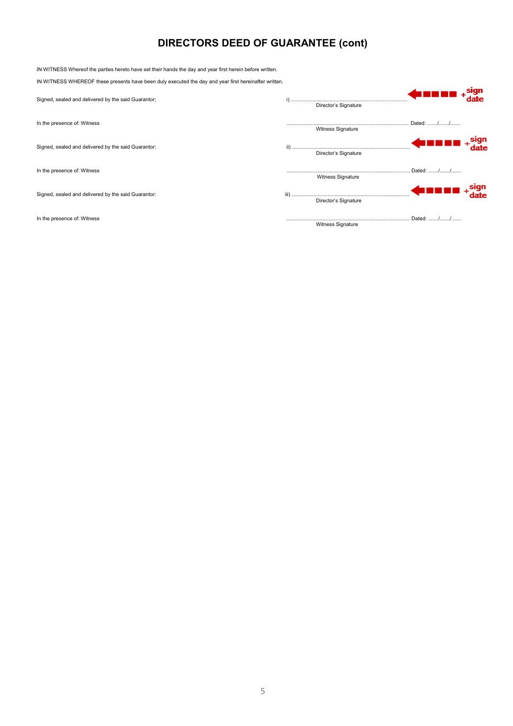# **DIRECTORS DEED OF GUARANTEE (cont)**

| IN WITNESS Whereof the parties hereto have set their hands the day and year first herein before written. |                          |           |
|----------------------------------------------------------------------------------------------------------|--------------------------|-----------|
| IN WITNESS WHEREOF these presents have been duly executed the day and year first hereinafter written.    |                          |           |
| Signed, sealed and delivered by the said Guarantor;                                                      | Director's Signature     |           |
| In the presence of: Witness                                                                              | <b>Witness Signature</b> | Dated: // |
| Signed, sealed and delivered by the said Guarantor:                                                      | Director's Signature     |           |
| In the presence of: Witness                                                                              | <b>Witness Signature</b> | Dated: // |
| Signed, sealed and delivered by the said Guarantor:                                                      | Director's Signature     |           |
| In the presence of: Witness                                                                              | Witness Signature        | Dated: /  |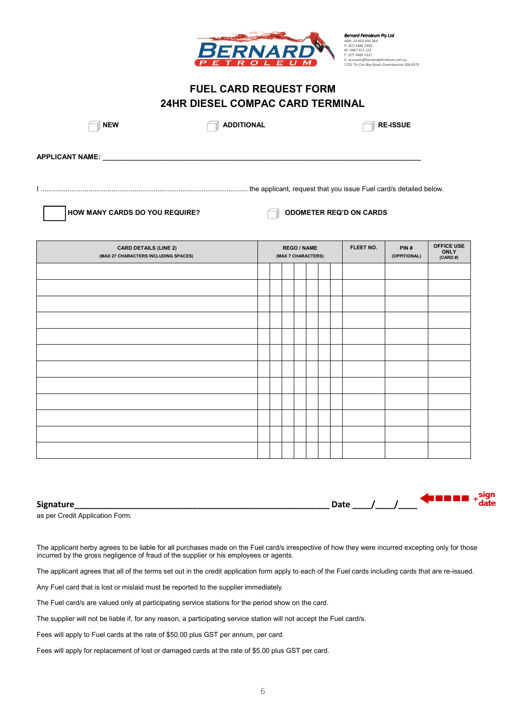

*Bernard Petroleum Pty Ltd ABN: 24 603 456 364 P: (07) 5486 5993 M: 0487 911 223 F: (07) 5486 5322 E: accounts@bernardpetroleum.com.au 1702 Tin Can Bay Road, Goomboorian Qld 4570* 

# **FUEL CARD REQUEST FORM 24HR DIESEL COMPAC CARD TERMINAL**

**EXECUTE ADDITIONAL RE-ISSUE** 

**APPLICANT NAME:** 

I ............................................................................................................ the applicant, request that you issue Fuel card/s detailed below.



| <b>CARD DETAILS (LINE 2)</b><br>(MAX 27 CHARACTERS INCLUDING SPACES) | <b>REGO / NAME</b><br>(MAX 7 CHARACTERS) |  |  | FLEET NO. | PIN#<br>(OPPITIONAL) | <b>OFFICE USE</b><br><b>ONLY</b><br>(CARD#) |  |  |
|----------------------------------------------------------------------|------------------------------------------|--|--|-----------|----------------------|---------------------------------------------|--|--|
|                                                                      |                                          |  |  |           |                      |                                             |  |  |
|                                                                      |                                          |  |  |           |                      |                                             |  |  |
|                                                                      |                                          |  |  |           |                      |                                             |  |  |
|                                                                      |                                          |  |  |           |                      |                                             |  |  |
|                                                                      |                                          |  |  |           |                      |                                             |  |  |
|                                                                      |                                          |  |  |           |                      |                                             |  |  |
|                                                                      |                                          |  |  |           |                      |                                             |  |  |
|                                                                      |                                          |  |  |           |                      |                                             |  |  |
|                                                                      |                                          |  |  |           |                      |                                             |  |  |
|                                                                      |                                          |  |  |           |                      |                                             |  |  |
|                                                                      |                                          |  |  |           |                      |                                             |  |  |
|                                                                      |                                          |  |  |           |                      |                                             |  |  |

| Signature | ל בר<br>pucc |  |
|-----------|--------------|--|
| -         |              |  |

as per Credit Application Form.

The applicant herby agrees to be liable for all purchases made on the Fuel card/s irrespective of how they were incurred excepting only for those incurred by the gross negligence of fraud of the supplier or his employees or agents.

The applicant agrees that all of the terms set out in the credit application form apply to each of the Fuel cards including cards that are re-issued.

Any Fuel card that is lost or mislaid must be reported to the supplier immediately.

The Fuel card/s are valued only at participating service stations for the period show on the card.

The supplier will not be liable if, for any reason, a participating service station will not accept the Fuel card/s.

Fees will apply to Fuel cards at the rate of \$50.00 plus GST per annum, per card.

Fees will apply for replacement of lost or damaged cards at the rate of \$5.00 plus GST per card.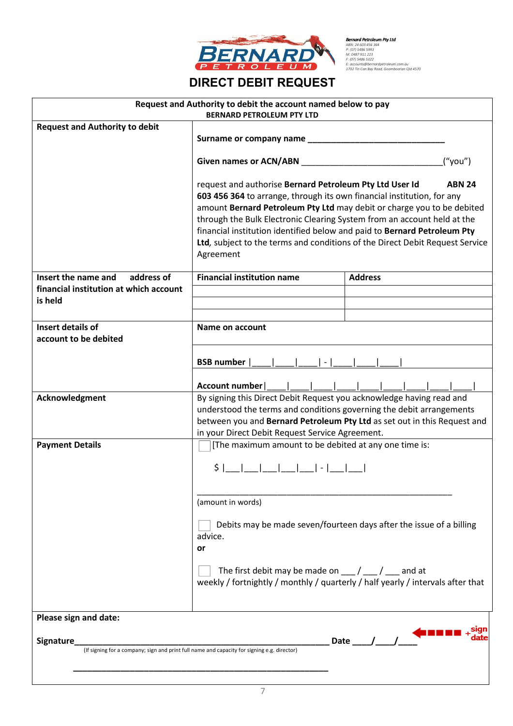

**Bernard Petroleum Pty Ltd<br>8.81: 24 603 456 364<br>P: (07) 5486 5993<br>M: 0487 911 223<br>E: (07) 5486 5322<br>E: (07) 5486 5322<br>SE: OCOME@ENernardpetroleum.com.au<br>1702 Tin Can Bay Road, Goomboorian Qld 4570** 

# **DIRECT DEBIT REQUEST**

|                                                                                                           | Request and Authority to debit the account named below to pay<br><b>BERNARD PETROLEUM PTY LTD</b>                                                                                                                                                                                                                                                                                                                                                                                |                                                                     |  |  |  |  |
|-----------------------------------------------------------------------------------------------------------|----------------------------------------------------------------------------------------------------------------------------------------------------------------------------------------------------------------------------------------------------------------------------------------------------------------------------------------------------------------------------------------------------------------------------------------------------------------------------------|---------------------------------------------------------------------|--|--|--|--|
| <b>Request and Authority to debit</b>                                                                     | Surname or company name __________                                                                                                                                                                                                                                                                                                                                                                                                                                               |                                                                     |  |  |  |  |
|                                                                                                           | Given names or ACN/ABN<br>("you")                                                                                                                                                                                                                                                                                                                                                                                                                                                |                                                                     |  |  |  |  |
|                                                                                                           | request and authorise Bernard Petroleum Pty Ltd User Id<br><b>ABN 24</b><br>603 456 364 to arrange, through its own financial institution, for any<br>amount Bernard Petroleum Pty Ltd may debit or charge you to be debited<br>through the Bulk Electronic Clearing System from an account held at the<br>financial institution identified below and paid to Bernard Petroleum Pty<br>Ltd, subject to the terms and conditions of the Direct Debit Request Service<br>Agreement |                                                                     |  |  |  |  |
| Insert the name and<br>address of                                                                         | <b>Financial institution name</b>                                                                                                                                                                                                                                                                                                                                                                                                                                                | <b>Address</b>                                                      |  |  |  |  |
| financial institution at which account                                                                    |                                                                                                                                                                                                                                                                                                                                                                                                                                                                                  |                                                                     |  |  |  |  |
| is held                                                                                                   |                                                                                                                                                                                                                                                                                                                                                                                                                                                                                  |                                                                     |  |  |  |  |
| Insert details of                                                                                         | Name on account                                                                                                                                                                                                                                                                                                                                                                                                                                                                  |                                                                     |  |  |  |  |
| account to be debited                                                                                     |                                                                                                                                                                                                                                                                                                                                                                                                                                                                                  |                                                                     |  |  |  |  |
|                                                                                                           | <b>BSB</b> number                                                                                                                                                                                                                                                                                                                                                                                                                                                                |                                                                     |  |  |  |  |
|                                                                                                           | Account number                                                                                                                                                                                                                                                                                                                                                                                                                                                                   |                                                                     |  |  |  |  |
| Acknowledgment                                                                                            | By signing this Direct Debit Request you acknowledge having read and<br>understood the terms and conditions governing the debit arrangements<br>between you and Bernard Petroleum Pty Ltd as set out in this Request and<br>in your Direct Debit Request Service Agreement.                                                                                                                                                                                                      |                                                                     |  |  |  |  |
| <b>Payment Details</b>                                                                                    | [The maximum amount to be debited at any one time is:                                                                                                                                                                                                                                                                                                                                                                                                                            |                                                                     |  |  |  |  |
|                                                                                                           | ____ ____ ____ ____  -  ____ <br>\$                                                                                                                                                                                                                                                                                                                                                                                                                                              |                                                                     |  |  |  |  |
|                                                                                                           | (amount in words)                                                                                                                                                                                                                                                                                                                                                                                                                                                                |                                                                     |  |  |  |  |
|                                                                                                           | advice.<br>or                                                                                                                                                                                                                                                                                                                                                                                                                                                                    | Debits may be made seven/fourteen days after the issue of a billing |  |  |  |  |
|                                                                                                           | The first debit may be made on $\frac{1}{\sqrt{2}}$ / $\frac{1}{\sqrt{2}}$ and at<br>weekly / fortnightly / monthly / quarterly / half yearly / intervals after that                                                                                                                                                                                                                                                                                                             |                                                                     |  |  |  |  |
| Please sign and date:                                                                                     |                                                                                                                                                                                                                                                                                                                                                                                                                                                                                  |                                                                     |  |  |  |  |
| Signature_<br>(If signing for a company; sign and print full name and capacity for signing e.g. director) |                                                                                                                                                                                                                                                                                                                                                                                                                                                                                  | Date $\frac{1}{\sqrt{2}}$                                           |  |  |  |  |
|                                                                                                           |                                                                                                                                                                                                                                                                                                                                                                                                                                                                                  |                                                                     |  |  |  |  |